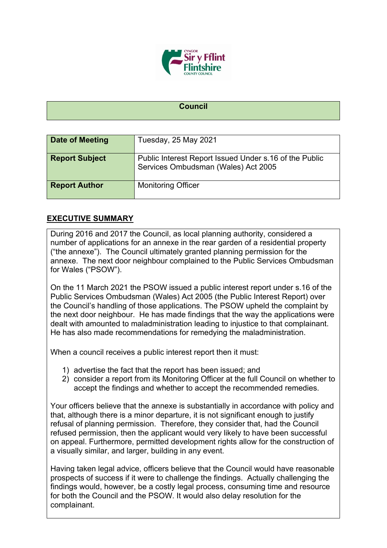

```
Council
```

| Date of Meeting       | Tuesday, 25 May 2021                                                                          |
|-----------------------|-----------------------------------------------------------------------------------------------|
| <b>Report Subject</b> | Public Interest Report Issued Under s.16 of the Public<br>Services Ombudsman (Wales) Act 2005 |
| <b>Report Author</b>  | <b>Monitoring Officer</b>                                                                     |

## **EXECUTIVE SUMMARY**

During 2016 and 2017 the Council, as local planning authority, considered a number of applications for an annexe in the rear garden of a residential property ("the annexe"). The Council ultimately granted planning permission for the annexe. The next door neighbour complained to the Public Services Ombudsman for Wales ("PSOW").

On the 11 March 2021 the PSOW issued a public interest report under s.16 of the Public Services Ombudsman (Wales) Act 2005 (the Public Interest Report) over the Council's handling of those applications. The PSOW upheld the complaint by the next door neighbour. He has made findings that the way the applications were dealt with amounted to maladministration leading to injustice to that complainant. He has also made recommendations for remedying the maladministration.

When a council receives a public interest report then it must:

- 1) advertise the fact that the report has been issued; and
- 2) consider a report from its Monitoring Officer at the full Council on whether to accept the findings and whether to accept the recommended remedies.

Your officers believe that the annexe is substantially in accordance with policy and that, although there is a minor departure, it is not significant enough to justify refusal of planning permission. Therefore, they consider that, had the Council refused permission, then the applicant would very likely to have been successful on appeal. Furthermore, permitted development rights allow for the construction of a visually similar, and larger, building in any event.

Having taken legal advice, officers believe that the Council would have reasonable prospects of success if it were to challenge the findings. Actually challenging the findings would, however, be a costly legal process, consuming time and resource for both the Council and the PSOW. It would also delay resolution for the complainant.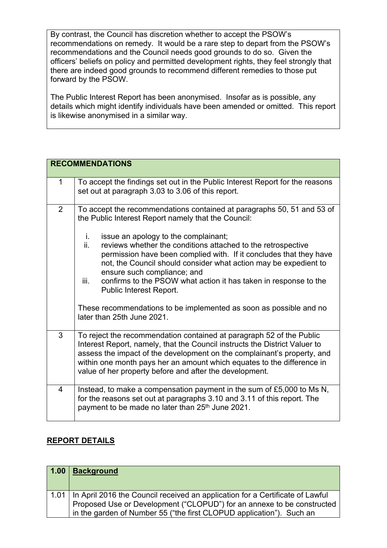By contrast, the Council has discretion whether to accept the PSOW's recommendations on remedy. It would be a rare step to depart from the PSOW's recommendations and the Council needs good grounds to do so. Given the officers' beliefs on policy and permitted development rights, they feel strongly that there are indeed good grounds to recommend different remedies to those put forward by the PSOW.

The Public Interest Report has been anonymised. Insofar as is possible, any details which might identify individuals have been amended or omitted. This report is likewise anonymised in a similar way.

|                | <b>RECOMMENDATIONS</b>                                                                                                                                                                                                                                                                                                                                             |
|----------------|--------------------------------------------------------------------------------------------------------------------------------------------------------------------------------------------------------------------------------------------------------------------------------------------------------------------------------------------------------------------|
| $\mathbf 1$    | To accept the findings set out in the Public Interest Report for the reasons<br>set out at paragraph 3.03 to 3.06 of this report.                                                                                                                                                                                                                                  |
| $\overline{2}$ | To accept the recommendations contained at paragraphs 50, 51 and 53 of<br>the Public Interest Report namely that the Council:<br>i.<br>issue an apology to the complainant;                                                                                                                                                                                        |
|                | ii.<br>reviews whether the conditions attached to the retrospective<br>permission have been complied with. If it concludes that they have<br>not, the Council should consider what action may be expedient to<br>ensure such compliance; and<br>confirms to the PSOW what action it has taken in response to the<br>iii.                                           |
|                | Public Interest Report.<br>These recommendations to be implemented as soon as possible and no<br>later than 25th June 2021.                                                                                                                                                                                                                                        |
| 3              | To reject the recommendation contained at paragraph 52 of the Public<br>Interest Report, namely, that the Council instructs the District Valuer to<br>assess the impact of the development on the complainant's property, and<br>within one month pays her an amount which equates to the difference in<br>value of her property before and after the development. |
| $\overline{4}$ | Instead, to make a compensation payment in the sum of £5,000 to Ms N,<br>for the reasons set out at paragraphs 3.10 and 3.11 of this report. The<br>payment to be made no later than 25 <sup>th</sup> June 2021.                                                                                                                                                   |

## **REPORT DETAILS**

| 1.00 | <b>Background</b>                                                                                                                                                                                                               |
|------|---------------------------------------------------------------------------------------------------------------------------------------------------------------------------------------------------------------------------------|
| 1.01 | In April 2016 the Council received an application for a Certificate of Lawful<br>Proposed Use or Development ("CLOPUD") for an annexe to be constructed<br>in the garden of Number 55 ("the first CLOPUD application"). Such an |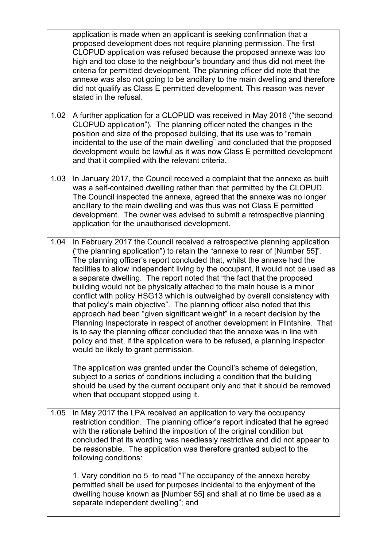|      | application is made when an applicant is seeking confirmation that a<br>proposed development does not require planning permission. The first<br>CLOPUD application was refused because the proposed annexe was too<br>high and too close to the neighbour's boundary and thus did not meet the<br>criteria for permitted development. The planning officer did note that the<br>annexe was also not going to be ancillary to the main dwelling and therefore<br>did not qualify as Class E permitted development. This reason was never<br>stated in the refusal.                                                                                                                                                                                                                                                                                                                                                                                                                                                                                                              |
|------|--------------------------------------------------------------------------------------------------------------------------------------------------------------------------------------------------------------------------------------------------------------------------------------------------------------------------------------------------------------------------------------------------------------------------------------------------------------------------------------------------------------------------------------------------------------------------------------------------------------------------------------------------------------------------------------------------------------------------------------------------------------------------------------------------------------------------------------------------------------------------------------------------------------------------------------------------------------------------------------------------------------------------------------------------------------------------------|
| 1.02 | A further application for a CLOPUD was received in May 2016 ("the second<br>CLOPUD application"). The planning officer noted the changes in the<br>position and size of the proposed building, that its use was to "remain<br>incidental to the use of the main dwelling" and concluded that the proposed<br>development would be lawful as it was now Class E permitted development<br>and that it complied with the relevant criteria.                                                                                                                                                                                                                                                                                                                                                                                                                                                                                                                                                                                                                                       |
| 1.03 | In January 2017, the Council received a complaint that the annexe as built<br>was a self-contained dwelling rather than that permitted by the CLOPUD.<br>The Council inspected the annexe, agreed that the annexe was no longer<br>ancillary to the main dwelling and was thus was not Class E permitted<br>development. The owner was advised to submit a retrospective planning<br>application for the unauthorised development.                                                                                                                                                                                                                                                                                                                                                                                                                                                                                                                                                                                                                                             |
| 1.04 | In February 2017 the Council received a retrospective planning application<br>("the planning application") to retain the "annexe to rear of [Number 55]".<br>The planning officer's report concluded that, whilst the annexe had the<br>facilities to allow independent living by the occupant, it would not be used as<br>a separate dwelling. The report noted that "the fact that the proposed<br>building would not be physically attached to the main house is a minor<br>conflict with policy HSG13 which is outweighed by overall consistency with<br>that policy's main objective". The planning officer also noted that this<br>approach had been "given significant weight" in a recent decision by the<br>Planning Inspectorate in respect of another development in Flintshire. That<br>is to say the planning officer concluded that the annexe was in line with<br>policy and that, if the application were to be refused, a planning inspector<br>would be likely to grant permission.<br>The application was granted under the Council's scheme of delegation, |
|      | subject to a series of conditions including a condition that the building<br>should be used by the current occupant only and that it should be removed<br>when that occupant stopped using it.                                                                                                                                                                                                                                                                                                                                                                                                                                                                                                                                                                                                                                                                                                                                                                                                                                                                                 |
| 1.05 | In May 2017 the LPA received an application to vary the occupancy<br>restriction condition. The planning officer's report indicated that he agreed<br>with the rationale behind the imposition of the original condition but<br>concluded that its wording was needlessly restrictive and did not appear to<br>be reasonable. The application was therefore granted subject to the<br>following conditions:                                                                                                                                                                                                                                                                                                                                                                                                                                                                                                                                                                                                                                                                    |
|      | 1. Vary condition no 5 to read "The occupancy of the annexe hereby<br>permitted shall be used for purposes incidental to the enjoyment of the<br>dwelling house known as [Number 55] and shall at no time be used as a<br>separate independent dwelling"; and                                                                                                                                                                                                                                                                                                                                                                                                                                                                                                                                                                                                                                                                                                                                                                                                                  |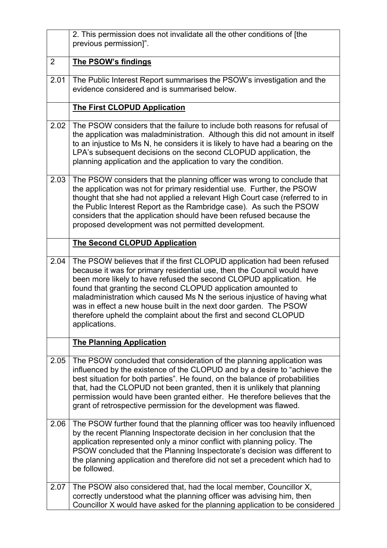|                | 2. This permission does not invalidate all the other conditions of [the<br>previous permission]".                                                                                                                                                                                                                                                                                                                                                                                                                               |
|----------------|---------------------------------------------------------------------------------------------------------------------------------------------------------------------------------------------------------------------------------------------------------------------------------------------------------------------------------------------------------------------------------------------------------------------------------------------------------------------------------------------------------------------------------|
| $\overline{2}$ | The PSOW's findings                                                                                                                                                                                                                                                                                                                                                                                                                                                                                                             |
| 2.01           | The Public Interest Report summarises the PSOW's investigation and the<br>evidence considered and is summarised below.                                                                                                                                                                                                                                                                                                                                                                                                          |
|                | <b>The First CLOPUD Application</b>                                                                                                                                                                                                                                                                                                                                                                                                                                                                                             |
| 2.02           | The PSOW considers that the failure to include both reasons for refusal of<br>the application was maladministration. Although this did not amount in itself<br>to an injustice to Ms N, he considers it is likely to have had a bearing on the<br>LPA's subsequent decisions on the second CLOPUD application, the<br>planning application and the application to vary the condition.                                                                                                                                           |
| 2.03           | The PSOW considers that the planning officer was wrong to conclude that<br>the application was not for primary residential use. Further, the PSOW<br>thought that she had not applied a relevant High Court case (referred to in<br>the Public Interest Report as the Rambridge case). As such the PSOW<br>considers that the application should have been refused because the<br>proposed development was not permitted development.                                                                                           |
|                | <b>The Second CLOPUD Application</b>                                                                                                                                                                                                                                                                                                                                                                                                                                                                                            |
| 2.04           | The PSOW believes that if the first CLOPUD application had been refused<br>because it was for primary residential use, then the Council would have<br>been more likely to have refused the second CLOPUD application. He<br>found that granting the second CLOPUD application amounted to<br>maladministration which caused Ms N the serious injustice of having what<br>was in effect a new house built in the next door garden. The PSOW<br>therefore upheld the complaint about the first and second CLOPUD<br>applications. |
|                | <b>The Planning Application</b>                                                                                                                                                                                                                                                                                                                                                                                                                                                                                                 |
| 2.05           | The PSOW concluded that consideration of the planning application was<br>influenced by the existence of the CLOPUD and by a desire to "achieve the<br>best situation for both parties". He found, on the balance of probabilities<br>that, had the CLOPUD not been granted, then it is unlikely that planning<br>permission would have been granted either. He therefore believes that the<br>grant of retrospective permission for the development was flawed.                                                                 |
| 2.06           | The PSOW further found that the planning officer was too heavily influenced<br>by the recent Planning Inspectorate decision in her conclusion that the<br>application represented only a minor conflict with planning policy. The<br>PSOW concluded that the Planning Inspectorate's decision was different to<br>the planning application and therefore did not set a precedent which had to<br>be followed.                                                                                                                   |
| 2.07           | The PSOW also considered that, had the local member, Councillor X,<br>correctly understood what the planning officer was advising him, then<br>Councillor X would have asked for the planning application to be considered                                                                                                                                                                                                                                                                                                      |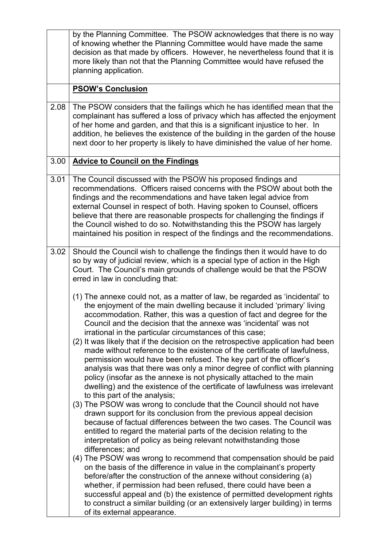|      | by the Planning Committee. The PSOW acknowledges that there is no way<br>of knowing whether the Planning Committee would have made the same<br>decision as that made by officers. However, he nevertheless found that it is<br>more likely than not that the Planning Committee would have refused the<br>planning application.                                                                                                                                                                                                                                                                                                                                                                                                                                                                                                                                                                                                                                                                                                                                                                                                                                                                                                                                     |
|------|---------------------------------------------------------------------------------------------------------------------------------------------------------------------------------------------------------------------------------------------------------------------------------------------------------------------------------------------------------------------------------------------------------------------------------------------------------------------------------------------------------------------------------------------------------------------------------------------------------------------------------------------------------------------------------------------------------------------------------------------------------------------------------------------------------------------------------------------------------------------------------------------------------------------------------------------------------------------------------------------------------------------------------------------------------------------------------------------------------------------------------------------------------------------------------------------------------------------------------------------------------------------|
|      | <b>PSOW's Conclusion</b>                                                                                                                                                                                                                                                                                                                                                                                                                                                                                                                                                                                                                                                                                                                                                                                                                                                                                                                                                                                                                                                                                                                                                                                                                                            |
| 2.08 | The PSOW considers that the failings which he has identified mean that the<br>complainant has suffered a loss of privacy which has affected the enjoyment<br>of her home and garden, and that this is a significant injustice to her. In<br>addition, he believes the existence of the building in the garden of the house<br>next door to her property is likely to have diminished the value of her home.                                                                                                                                                                                                                                                                                                                                                                                                                                                                                                                                                                                                                                                                                                                                                                                                                                                         |
| 3.00 | <b>Advice to Council on the Findings</b>                                                                                                                                                                                                                                                                                                                                                                                                                                                                                                                                                                                                                                                                                                                                                                                                                                                                                                                                                                                                                                                                                                                                                                                                                            |
| 3.01 | The Council discussed with the PSOW his proposed findings and<br>recommendations. Officers raised concerns with the PSOW about both the<br>findings and the recommendations and have taken legal advice from<br>external Counsel in respect of both. Having spoken to Counsel, officers<br>believe that there are reasonable prospects for challenging the findings if<br>the Council wished to do so. Notwithstanding this the PSOW has largely<br>maintained his position in respect of the findings and the recommendations.                                                                                                                                                                                                                                                                                                                                                                                                                                                                                                                                                                                                                                                                                                                                     |
| 3.02 | Should the Council wish to challenge the findings then it would have to do<br>so by way of judicial review, which is a special type of action in the High<br>Court. The Council's main grounds of challenge would be that the PSOW<br>erred in law in concluding that:                                                                                                                                                                                                                                                                                                                                                                                                                                                                                                                                                                                                                                                                                                                                                                                                                                                                                                                                                                                              |
|      | (1) The annexe could not, as a matter of law, be regarded as 'incidental' to<br>the enjoyment of the main dwelling because it included 'primary' living<br>accommodation. Rather, this was a question of fact and degree for the<br>Council and the decision that the annexe was 'incidental' was not<br>irrational in the particular circumstances of this case;<br>(2) It was likely that if the decision on the retrospective application had been<br>made without reference to the existence of the certificate of lawfulness,<br>permission would have been refused. The key part of the officer's<br>analysis was that there was only a minor degree of conflict with planning<br>policy (insofar as the annexe is not physically attached to the main<br>dwelling) and the existence of the certificate of lawfulness was irrelevant<br>to this part of the analysis;<br>(3) The PSOW was wrong to conclude that the Council should not have<br>drawn support for its conclusion from the previous appeal decision<br>because of factual differences between the two cases. The Council was<br>entitled to regard the material parts of the decision relating to the<br>interpretation of policy as being relevant notwithstanding those<br>differences; and |
|      | (4) The PSOW was wrong to recommend that compensation should be paid<br>on the basis of the difference in value in the complainant's property<br>before/after the construction of the annexe without considering (a)<br>whether, if permission had been refused, there could have been a<br>successful appeal and (b) the existence of permitted development rights                                                                                                                                                                                                                                                                                                                                                                                                                                                                                                                                                                                                                                                                                                                                                                                                                                                                                                 |
|      | to construct a similar building (or an extensively larger building) in terms<br>of its external appearance.                                                                                                                                                                                                                                                                                                                                                                                                                                                                                                                                                                                                                                                                                                                                                                                                                                                                                                                                                                                                                                                                                                                                                         |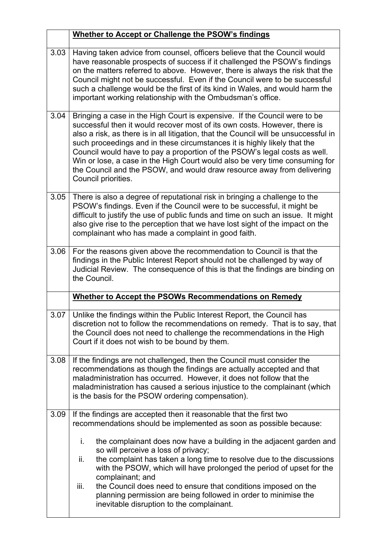|      | Whether to Accept or Challenge the PSOW's findings                                                                                                                                                                                                                                                                                                                                                                                                                                                                                                                                      |
|------|-----------------------------------------------------------------------------------------------------------------------------------------------------------------------------------------------------------------------------------------------------------------------------------------------------------------------------------------------------------------------------------------------------------------------------------------------------------------------------------------------------------------------------------------------------------------------------------------|
| 3.03 | Having taken advice from counsel, officers believe that the Council would<br>have reasonable prospects of success if it challenged the PSOW's findings<br>on the matters referred to above. However, there is always the risk that the<br>Council might not be successful. Even if the Council were to be successful<br>such a challenge would be the first of its kind in Wales, and would harm the<br>important working relationship with the Ombudsman's office.                                                                                                                     |
| 3.04 | Bringing a case in the High Court is expensive. If the Council were to be<br>successful then it would recover most of its own costs. However, there is<br>also a risk, as there is in all litigation, that the Council will be unsuccessful in<br>such proceedings and in these circumstances it is highly likely that the<br>Council would have to pay a proportion of the PSOW's legal costs as well.<br>Win or lose, a case in the High Court would also be very time consuming for<br>the Council and the PSOW, and would draw resource away from delivering<br>Council priorities. |
| 3.05 | There is also a degree of reputational risk in bringing a challenge to the<br>PSOW's findings. Even if the Council were to be successful, it might be<br>difficult to justify the use of public funds and time on such an issue. It might<br>also give rise to the perception that we have lost sight of the impact on the<br>complainant who has made a complaint in good faith.                                                                                                                                                                                                       |
| 3.06 | For the reasons given above the recommendation to Council is that the<br>findings in the Public Interest Report should not be challenged by way of<br>Judicial Review. The consequence of this is that the findings are binding on<br>the Council.                                                                                                                                                                                                                                                                                                                                      |
|      | <b>Whether to Accept the PSOWs Recommendations on Remedy</b>                                                                                                                                                                                                                                                                                                                                                                                                                                                                                                                            |
| 3.07 | Unlike the findings within the Public Interest Report, the Council has<br>discretion not to follow the recommendations on remedy. That is to say, that<br>the Council does not need to challenge the recommendations in the High<br>Court if it does not wish to be bound by them.                                                                                                                                                                                                                                                                                                      |
| 3.08 | If the findings are not challenged, then the Council must consider the<br>recommendations as though the findings are actually accepted and that<br>maladministration has occurred. However, it does not follow that the<br>maladministration has caused a serious injustice to the complainant (which<br>is the basis for the PSOW ordering compensation).                                                                                                                                                                                                                              |
| 3.09 | If the findings are accepted then it reasonable that the first two<br>recommendations should be implemented as soon as possible because:                                                                                                                                                                                                                                                                                                                                                                                                                                                |
|      | i.<br>the complainant does now have a building in the adjacent garden and<br>so will perceive a loss of privacy;<br>the complaint has taken a long time to resolve due to the discussions<br>ii.<br>with the PSOW, which will have prolonged the period of upset for the<br>complainant; and<br>iii.<br>the Council does need to ensure that conditions imposed on the                                                                                                                                                                                                                  |
|      | planning permission are being followed in order to minimise the<br>inevitable disruption to the complainant.                                                                                                                                                                                                                                                                                                                                                                                                                                                                            |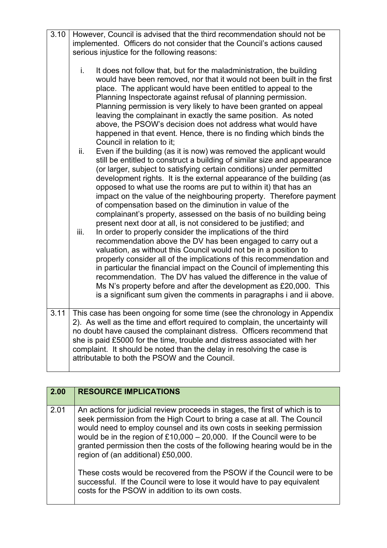| 3.10 | However, Council is advised that the third recommendation should not be<br>implemented. Officers do not consider that the Council's actions caused<br>serious injustice for the following reasons:                                                                                                                                                                                                                                                                                                                                                                                                                                                                                                                                                                                                                                                                                                                                                                                                                  |
|------|---------------------------------------------------------------------------------------------------------------------------------------------------------------------------------------------------------------------------------------------------------------------------------------------------------------------------------------------------------------------------------------------------------------------------------------------------------------------------------------------------------------------------------------------------------------------------------------------------------------------------------------------------------------------------------------------------------------------------------------------------------------------------------------------------------------------------------------------------------------------------------------------------------------------------------------------------------------------------------------------------------------------|
|      | i.<br>It does not follow that, but for the maladministration, the building<br>would have been removed, nor that it would not been built in the first<br>place. The applicant would have been entitled to appeal to the<br>Planning Inspectorate against refusal of planning permission.<br>Planning permission is very likely to have been granted on appeal<br>leaving the complainant in exactly the same position. As noted<br>above, the PSOW's decision does not address what would have<br>happened in that event. Hence, there is no finding which binds the<br>Council in relation to it:                                                                                                                                                                                                                                                                                                                                                                                                                   |
|      | Even if the building (as it is now) was removed the applicant would<br>ii.<br>still be entitled to construct a building of similar size and appearance<br>(or larger, subject to satisfying certain conditions) under permitted<br>development rights. It is the external appearance of the building (as<br>opposed to what use the rooms are put to within it) that has an<br>impact on the value of the neighbouring property. Therefore payment<br>of compensation based on the diminution in value of the<br>complainant's property, assessed on the basis of no building being<br>present next door at all, is not considered to be justified; and<br>iii.<br>In order to properly consider the implications of the third<br>recommendation above the DV has been engaged to carry out a<br>valuation, as without this Council would not be in a position to<br>properly consider all of the implications of this recommendation and<br>in particular the financial impact on the Council of implementing this |
|      | recommendation. The DV has valued the difference in the value of<br>Ms N's property before and after the development as £20,000. This<br>is a significant sum given the comments in paragraphs i and ii above.                                                                                                                                                                                                                                                                                                                                                                                                                                                                                                                                                                                                                                                                                                                                                                                                      |
| 3.11 | This case has been ongoing for some time (see the chronology in Appendix<br>2). As well as the time and effort required to complain, the uncertainty will<br>no doubt have caused the complainant distress. Officers recommend that<br>she is paid £5000 for the time, trouble and distress associated with her<br>complaint. It should be noted than the delay in resolving the case is<br>attributable to both the PSOW and the Council.                                                                                                                                                                                                                                                                                                                                                                                                                                                                                                                                                                          |

| 2.00 | <b>RESOURCE IMPLICATIONS</b>                                                                                                                                                                                                                                                                                                                                                                                                                                                                                                                                                                                                            |
|------|-----------------------------------------------------------------------------------------------------------------------------------------------------------------------------------------------------------------------------------------------------------------------------------------------------------------------------------------------------------------------------------------------------------------------------------------------------------------------------------------------------------------------------------------------------------------------------------------------------------------------------------------|
| 2.01 | An actions for judicial review proceeds in stages, the first of which is to<br>seek permission from the High Court to bring a case at all. The Council<br>would need to employ counsel and its own costs in seeking permission<br>would be in the region of $£10,000 - 20,000$ . If the Council were to be<br>granted permission then the costs of the following hearing would be in the<br>region of (an additional) £50,000.<br>These costs would be recovered from the PSOW if the Council were to be<br>successful. If the Council were to lose it would have to pay equivalent<br>costs for the PSOW in addition to its own costs. |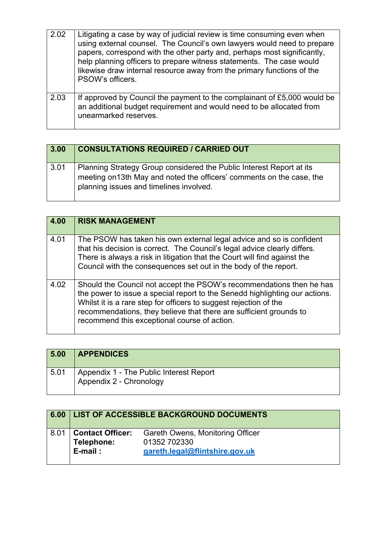| 2.02 | Litigating a case by way of judicial review is time consuming even when<br>using external counsel. The Council's own lawyers would need to prepare<br>papers, correspond with the other party and, perhaps most significantly,<br>help planning officers to prepare witness statements. The case would<br>likewise draw internal resource away from the primary functions of the<br>PSOW's officers. |
|------|------------------------------------------------------------------------------------------------------------------------------------------------------------------------------------------------------------------------------------------------------------------------------------------------------------------------------------------------------------------------------------------------------|
| 2.03 | If approved by Council the payment to the complainant of £5,000 would be<br>an additional budget requirement and would need to be allocated from<br>unearmarked reserves.                                                                                                                                                                                                                            |

| 3.00 | <b>CONSULTATIONS REQUIRED / CARRIED OUT</b>                                                                                                                                              |
|------|------------------------------------------------------------------------------------------------------------------------------------------------------------------------------------------|
| 3.01 | Planning Strategy Group considered the Public Interest Report at its<br>meeting on 13th May and noted the officers' comments on the case, the<br>planning issues and timelines involved. |

| 4.00 | <b>RISK MANAGEMENT</b>                                                                                                                                                                                                                                                                                                                         |
|------|------------------------------------------------------------------------------------------------------------------------------------------------------------------------------------------------------------------------------------------------------------------------------------------------------------------------------------------------|
| 4.01 | The PSOW has taken his own external legal advice and so is confident<br>that his decision is correct. The Council's legal advice clearly differs.<br>There is always a risk in litigation that the Court will find against the<br>Council with the consequences set out in the body of the report.                                             |
| 4.02 | Should the Council not accept the PSOW's recommendations then he has<br>the power to issue a special report to the Senedd highlighting our actions.<br>Whilst it is a rare step for officers to suggest rejection of the<br>recommendations, they believe that there are sufficient grounds to<br>recommend this exceptional course of action. |

| 5.00 | <b>APPENDICES</b>                                                  |
|------|--------------------------------------------------------------------|
| 5.01 | Appendix 1 - The Public Interest Report<br>Appendix 2 - Chronology |

| 6.00 |                                                  | LIST OF ACCESSIBLE BACKGROUND DOCUMENTS                                                   |
|------|--------------------------------------------------|-------------------------------------------------------------------------------------------|
| 8.01 | <b>Contact Officer:</b><br>Telephone:<br>E-mail: | <b>Gareth Owens, Monitoring Officer</b><br>01352 702330<br>gareth.legal@flintshire.gov.uk |